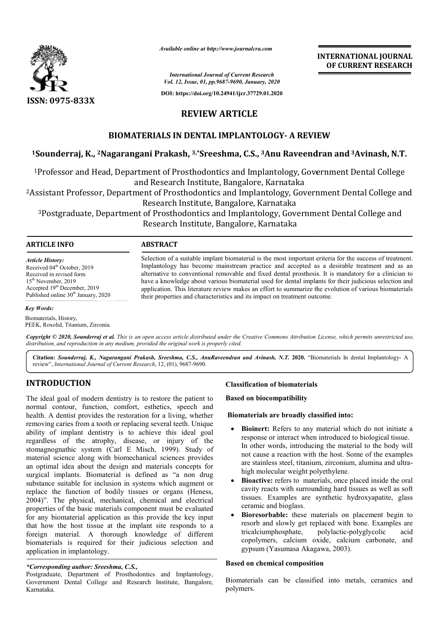

*Available online at http://www.journalcra.com*

# **INTERNATIONAL JOURNAL OF CURRENT RESEARCH**

# **REVIEW ARTICLE**

# **BIOMATERIALS IN DENTAL IMPLANTOLOGY- A REVIEW**

# **1Sounderraj, K., 2Nagarangani Prakash, Nagarangani 3,\*Sreeshma, C.S., 3Anu Raveendran and 3Avinash, N.T.**

|                                                                                                                                                                                                                                                                                                                                                                                                                                                                                                                                                                                                                                                                                                                                                                                                                                                                                                                                                                                         |                                                                                                                                                                                                                                                                                                                                                                                                                                                                                                                                                                                                                  | <b>INTERNATIONAL JOURNAL</b><br>OF CURRENT RESEARCH                                                                                                                                                                                                                                                                                                                                                                                                                                                                                                                                                                                                                                                                                                                                                                                                                    |
|-----------------------------------------------------------------------------------------------------------------------------------------------------------------------------------------------------------------------------------------------------------------------------------------------------------------------------------------------------------------------------------------------------------------------------------------------------------------------------------------------------------------------------------------------------------------------------------------------------------------------------------------------------------------------------------------------------------------------------------------------------------------------------------------------------------------------------------------------------------------------------------------------------------------------------------------------------------------------------------------|------------------------------------------------------------------------------------------------------------------------------------------------------------------------------------------------------------------------------------------------------------------------------------------------------------------------------------------------------------------------------------------------------------------------------------------------------------------------------------------------------------------------------------------------------------------------------------------------------------------|------------------------------------------------------------------------------------------------------------------------------------------------------------------------------------------------------------------------------------------------------------------------------------------------------------------------------------------------------------------------------------------------------------------------------------------------------------------------------------------------------------------------------------------------------------------------------------------------------------------------------------------------------------------------------------------------------------------------------------------------------------------------------------------------------------------------------------------------------------------------|
|                                                                                                                                                                                                                                                                                                                                                                                                                                                                                                                                                                                                                                                                                                                                                                                                                                                                                                                                                                                         |                                                                                                                                                                                                                                                                                                                                                                                                                                                                                                                                                                                                                  | <b>International Journal of Current Research</b><br>Vol. 12, Issue, 01, pp.9687-9690, January, 2020                                                                                                                                                                                                                                                                                                                                                                                                                                                                                                                                                                                                                                                                                                                                                                    |
|                                                                                                                                                                                                                                                                                                                                                                                                                                                                                                                                                                                                                                                                                                                                                                                                                                                                                                                                                                                         |                                                                                                                                                                                                                                                                                                                                                                                                                                                                                                                                                                                                                  | DOI: https://doi.org/10.24941/ijcr.37729.01.2020                                                                                                                                                                                                                                                                                                                                                                                                                                                                                                                                                                                                                                                                                                                                                                                                                       |
| ISSN: 0975-833X                                                                                                                                                                                                                                                                                                                                                                                                                                                                                                                                                                                                                                                                                                                                                                                                                                                                                                                                                                         | <b>REVIEW ARTICLE</b>                                                                                                                                                                                                                                                                                                                                                                                                                                                                                                                                                                                            |                                                                                                                                                                                                                                                                                                                                                                                                                                                                                                                                                                                                                                                                                                                                                                                                                                                                        |
|                                                                                                                                                                                                                                                                                                                                                                                                                                                                                                                                                                                                                                                                                                                                                                                                                                                                                                                                                                                         |                                                                                                                                                                                                                                                                                                                                                                                                                                                                                                                                                                                                                  |                                                                                                                                                                                                                                                                                                                                                                                                                                                                                                                                                                                                                                                                                                                                                                                                                                                                        |
| <b>BIOMATERIALS IN DENTAL IMPLANTOLOGY- A REVIEW</b>                                                                                                                                                                                                                                                                                                                                                                                                                                                                                                                                                                                                                                                                                                                                                                                                                                                                                                                                    |                                                                                                                                                                                                                                                                                                                                                                                                                                                                                                                                                                                                                  |                                                                                                                                                                                                                                                                                                                                                                                                                                                                                                                                                                                                                                                                                                                                                                                                                                                                        |
|                                                                                                                                                                                                                                                                                                                                                                                                                                                                                                                                                                                                                                                                                                                                                                                                                                                                                                                                                                                         |                                                                                                                                                                                                                                                                                                                                                                                                                                                                                                                                                                                                                  | <sup>1</sup> Sounderraj, K., <sup>2</sup> Nagarangani Prakash, <sup>3,*</sup> Sreeshma, C.S., <sup>3</sup> Anu Raveendran and <sup>3</sup> Avinash, N.T.                                                                                                                                                                                                                                                                                                                                                                                                                                                                                                                                                                                                                                                                                                               |
|                                                                                                                                                                                                                                                                                                                                                                                                                                                                                                                                                                                                                                                                                                                                                                                                                                                                                                                                                                                         | and Research Institute, Bangalore, Karnataka                                                                                                                                                                                                                                                                                                                                                                                                                                                                                                                                                                     | <sup>1</sup> Professor and Head, Department of Prosthodontics and Implantology, Government Dental College                                                                                                                                                                                                                                                                                                                                                                                                                                                                                                                                                                                                                                                                                                                                                              |
|                                                                                                                                                                                                                                                                                                                                                                                                                                                                                                                                                                                                                                                                                                                                                                                                                                                                                                                                                                                         | Research Institute, Bangalore, Karnataka                                                                                                                                                                                                                                                                                                                                                                                                                                                                                                                                                                         | <sup>2</sup> Assistant Professor, Department of Prosthodontics and Implantology, Government Dental College and                                                                                                                                                                                                                                                                                                                                                                                                                                                                                                                                                                                                                                                                                                                                                         |
|                                                                                                                                                                                                                                                                                                                                                                                                                                                                                                                                                                                                                                                                                                                                                                                                                                                                                                                                                                                         |                                                                                                                                                                                                                                                                                                                                                                                                                                                                                                                                                                                                                  | <sup>3</sup> Postgraduate, Department of Prosthodontics and Implantology, Government Dental College and<br>Research Institute, Bangalore, Karnataka                                                                                                                                                                                                                                                                                                                                                                                                                                                                                                                                                                                                                                                                                                                    |
| <b>ARTICLE INFO</b>                                                                                                                                                                                                                                                                                                                                                                                                                                                                                                                                                                                                                                                                                                                                                                                                                                                                                                                                                                     | <b>ABSTRACT</b>                                                                                                                                                                                                                                                                                                                                                                                                                                                                                                                                                                                                  |                                                                                                                                                                                                                                                                                                                                                                                                                                                                                                                                                                                                                                                                                                                                                                                                                                                                        |
| Article History:<br>Received 04 <sup>th</sup> October, 2019<br>Received in revised form<br>15 <sup>th</sup> November, 2019<br>Accepted 19 <sup>th</sup> December, 2019<br>Published online 30 <sup>th</sup> January, 2020                                                                                                                                                                                                                                                                                                                                                                                                                                                                                                                                                                                                                                                                                                                                                               | Selection of a suitable implant biomaterial is the most important criteria for the success of treatment.<br>Implantology has become mainstream practice and accepted as a desirable treatment and as an<br>alternative to conventional removable and fixed dental prosthesis. It is mandatory for a clinician to<br>have a knowledge about various biomaterial used for dental implants for their judicious selection and<br>application. This literature review makes an effort to summarize the evolution of various biomaterials<br>their properties and characteristics and its impact on treatment outcome. |                                                                                                                                                                                                                                                                                                                                                                                                                                                                                                                                                                                                                                                                                                                                                                                                                                                                        |
| Key Words:                                                                                                                                                                                                                                                                                                                                                                                                                                                                                                                                                                                                                                                                                                                                                                                                                                                                                                                                                                              |                                                                                                                                                                                                                                                                                                                                                                                                                                                                                                                                                                                                                  |                                                                                                                                                                                                                                                                                                                                                                                                                                                                                                                                                                                                                                                                                                                                                                                                                                                                        |
| Biomaterials, History,<br>PEEK, Roxolid, Titanium, Zirconia.                                                                                                                                                                                                                                                                                                                                                                                                                                                                                                                                                                                                                                                                                                                                                                                                                                                                                                                            |                                                                                                                                                                                                                                                                                                                                                                                                                                                                                                                                                                                                                  |                                                                                                                                                                                                                                                                                                                                                                                                                                                                                                                                                                                                                                                                                                                                                                                                                                                                        |
| distribution, and reproduction in any medium, provided the original work is properly cited.                                                                                                                                                                                                                                                                                                                                                                                                                                                                                                                                                                                                                                                                                                                                                                                                                                                                                             |                                                                                                                                                                                                                                                                                                                                                                                                                                                                                                                                                                                                                  | Copyright © 2020, Sounderraj et al. This is an open access article distributed under the Creative Commons Attribution License, which permits unrestricted use,                                                                                                                                                                                                                                                                                                                                                                                                                                                                                                                                                                                                                                                                                                         |
| review", International Journal of Current Research, 12, (01), 9687-9690.                                                                                                                                                                                                                                                                                                                                                                                                                                                                                                                                                                                                                                                                                                                                                                                                                                                                                                                |                                                                                                                                                                                                                                                                                                                                                                                                                                                                                                                                                                                                                  | Citation: Sounderraj, K., Nagarangani Prakash, Sreeshma, C.S., AnuRaveendran and Avinash, N.T. 2020. "Biomaterials In dental Implantology- A                                                                                                                                                                                                                                                                                                                                                                                                                                                                                                                                                                                                                                                                                                                           |
| <b>INTRODUCTION</b>                                                                                                                                                                                                                                                                                                                                                                                                                                                                                                                                                                                                                                                                                                                                                                                                                                                                                                                                                                     |                                                                                                                                                                                                                                                                                                                                                                                                                                                                                                                                                                                                                  | <b>Classification of biomaterials</b>                                                                                                                                                                                                                                                                                                                                                                                                                                                                                                                                                                                                                                                                                                                                                                                                                                  |
| The ideal goal of modern dentistry is to restore the patient to<br>normal contour, function, comfort, esthetics, speech and<br>health. A dentist provides the restoration for a living, whether                                                                                                                                                                                                                                                                                                                                                                                                                                                                                                                                                                                                                                                                                                                                                                                         |                                                                                                                                                                                                                                                                                                                                                                                                                                                                                                                                                                                                                  | <b>Based on biocompatibility</b>                                                                                                                                                                                                                                                                                                                                                                                                                                                                                                                                                                                                                                                                                                                                                                                                                                       |
|                                                                                                                                                                                                                                                                                                                                                                                                                                                                                                                                                                                                                                                                                                                                                                                                                                                                                                                                                                                         |                                                                                                                                                                                                                                                                                                                                                                                                                                                                                                                                                                                                                  | Biomaterials are broadly classified into:                                                                                                                                                                                                                                                                                                                                                                                                                                                                                                                                                                                                                                                                                                                                                                                                                              |
| removing caries from a tooth or replacing several teeth. Unique<br>ability of implant dentistry is to achieve this ideal goal<br>regardless of the atrophy, disease, or injury of the<br>stomagnognathic system (Carl E Misch, 1999). Study of<br>material science along with biomechanical sciences provides<br>an optimal idea about the design and materials concepts for<br>surgical implants. Biomaterial is defined as "a non drug<br>substance suitable for inclusion in systems which augment or<br>replace the function of bodily tissues or organs (Heness,<br>2004)". The physical, mechanical, chemical and electrical<br>properties of the basic materials component must be evaluated<br>for any biomaterial application as this provide the key input<br>that how the host tissue at the implant site responds to a<br>foreign material. A thorough knowledge of different<br>biomaterials is required for their judicious selection and<br>application in implantology. |                                                                                                                                                                                                                                                                                                                                                                                                                                                                                                                                                                                                                  | Bioinert: Refers to any material which do not initiate a<br>response or interact when introduced to biological tissue.<br>In other words, introducing the material to the body will<br>not cause a reaction with the host. Some of the examples<br>are stainless steel, titanium, zirconium, alumina and ultra-<br>high molecular weight polyethylene.<br>Bioactive: refers to materials, once placed inside the oral<br>$\bullet$<br>cavity reacts with surrounding hard tissues as well as soft<br>tissues. Examples are synthetic hydroxyapatite, glass<br>ceramic and bioglass.<br>Bioresorbable: these materials on placement begin to<br>$\bullet$<br>resorb and slowly get replaced with bone. Examples are<br>tricalciumphosphate,<br>polylactic-polyglycolic<br>acid<br>copolymers, calcium oxide, calcium carbonate, and<br>gypsum (Yasumasa Akagawa, 2003). |
| *Corresponding author: Sreeshma, C.S.,<br>Postgraduate, Department of Prosthodontics and Implantology,<br>Government Dental College and Research Institute. Bangalore.                                                                                                                                                                                                                                                                                                                                                                                                                                                                                                                                                                                                                                                                                                                                                                                                                  |                                                                                                                                                                                                                                                                                                                                                                                                                                                                                                                                                                                                                  | <b>Based on chemical composition</b><br>Biomaterials can be classified into metals, ceramics and                                                                                                                                                                                                                                                                                                                                                                                                                                                                                                                                                                                                                                                                                                                                                                       |

#### *Key Words:*

# **INTRODUCTION**

## *\*Corresponding author: Sreeshma, C.S.,*

Postgraduate, Department of Prosthodontics and Implantology, Government Dental College and Research Institute, Bangalore, Karnataka.

#### **Biomaterials are broadly classified into: Biomaterials are**

- **Bioinert:** Refers to any material which do not initiate a response or interact when introduced to biological tissue. In other words, introducing the material to the body will not cause a reaction with the host. Some of the examples are stainless steel, titanium, zirconium, alumina and ultra high molecular weight polyethylene. Refers to any material which do not initiate a<br>or interact when introduced to biological tissue.<br>vords, introducing the material to the body will<br>a reaction with the host. Some of the examples<br>ss steel, titanium, zirconium
- **Bioactive:** refers to materials, once placed inside the oral cavity reacts with surrounding hard tissues as well as soft tissues. Examples are synthetic hydroxyapatite, glass ceramic and bioglass. **ive:** refers to materials, once placed inside the oral reacts with surrounding hard tissues as well as soft . Examples are synthetic hydroxyapatite, glass c and bioglass.<br> **orbable:** these materials on placement begin to
- **Bioresorbable:** these materials on placement begin to resorb and slowly get replaced with bone. Examples are tricalciumphosphate, polylactic-polyglycolic copolymers, calcium oxide, calcium carbonate, and gypsum (Yasumasa Akagawa, 2003). gypsum (Yasumasa Akagawa

#### **Based on chemical composition ased**

Biomaterials can be classified into metals, ceramics and polymers.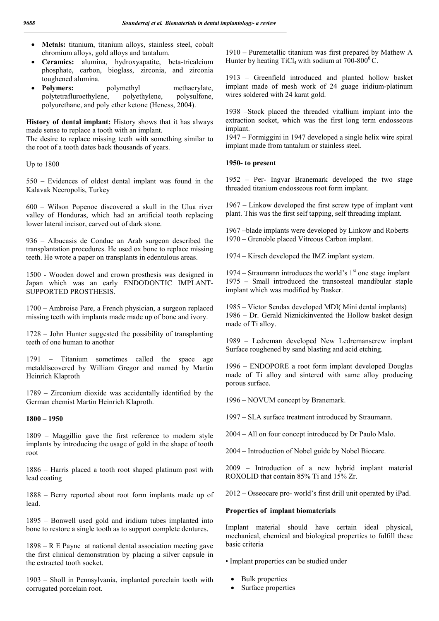- **Metals:** titanium, titanium alloys, stainless steel, cobalt chromium alloys, gold alloys and tantalum.
- **Ceramics:** alumina, hydroxyapatite, beta-tricalcium phosphate, carbon, bioglass, zirconia, and zirconia toughened alumina.
- Polymers: polymethyl methacrylate, polytetrafluroethylene, polyethylene, polysulfone, polyurethane, and poly ether ketone (Heness, 2004).

**History of dental implant:** History shows that it has always made sense to replace a tooth with an implant.

The desire to replace missing teeth with something similar to the root of a tooth dates back thousands of years.

Up to 1800

550 – Evidences of oldest dental implant was found in the Kalavak Necropolis, Turkey

600 – Wilson Popenoe discovered a skull in the Ulua river valley of Honduras, which had an artificial tooth replacing lower lateral incisor, carved out of dark stone.

936 – Albucasis de Condue an Arab surgeon described the transplantation procedures. He used ox bone to replace missing teeth. He wrote a paper on transplants in edentulous areas.

1500 - Wooden dowel and crown prosthesis was designed in Japan which was an early ENDODONTIC IMPLANT-SUPPORTED PROSTHESIS.

1700 – Ambroise Pare, a French physician, a surgeon replaced missing teeth with implants made made up of bone and ivory.

1728 – John Hunter suggested the possibility of transplanting teeth of one human to another

1791 – Titanium sometimes called the space age metaldiscovered by William Gregor and named by Martin Heinrich Klaproth

1789 – Zirconium dioxide was accidentally identified by the German chemist Martin Heinrich Klaproth.

### **1800 – 1950**

1809 – Maggillio gave the first reference to modern style implants by introducing the usage of gold in the shape of tooth root

1886 – Harris placed a tooth root shaped platinum post with lead coating

1888 – Berry reported about root form implants made up of lead.

1895 – Bonwell used gold and iridium tubes implanted into bone to restore a single tooth as to support complete dentures.

1898 – R E Payne at national dental association meeting gave the first clinical demonstration by placing a silver capsule in the extracted tooth socket.

1903 – Sholl in Pennsylvania, implanted porcelain tooth with corrugated porcelain root.

1910 – Puremetallic titanium was first prepared by Mathew A Hunter by heating TiCl<sub>4</sub> with sodium at  $700-800^{\circ}$ C.

1913 – Greenfield introduced and planted hollow basket implant made of mesh work of 24 guage iridium-platinum wires soldered with 24 karat gold.

1938 –Stock placed the threaded vitallium implant into the extraction socket, which was the first long term endosseous implant.

1947 – Formiggini in 1947 developed a single helix wire spiral implant made from tantalum or stainless steel.

### **1950- to present**

1952 – Per- Ingvar Branemark developed the two stage threaded titanium endosseous root form implant.

1967 – Linkow developed the first screw type of implant vent plant. This was the first self tapping, self threading implant.

1967 –blade implants were developed by Linkow and Roberts 1970 – Grenoble placed Vitreous Carbon implant.

1974 – Kirsch developed the IMZ implant system.

1974 – Straumann introduces the world's  $1<sup>st</sup>$  one stage implant 1975 – Small introduced the transosteal mandibular staple implant which was modified by Basker.

1985 – Victor Sendax developed MDI( Mini dental implants) 1986 – Dr. Gerald Niznickinvented the Hollow basket design made of Ti alloy.

1989 – Ledreman developed New Ledremanscrew implant Surface roughened by sand blasting and acid etching.

1996 – ENDOPORE a root form implant developed Douglas made of Ti alloy and sintered with same alloy producing porous surface.

1996 – NOVUM concept by Branemark.

1997 – SLA surface treatment introduced by Straumann.

2004 – All on four concept introduced by Dr Paulo Malo.

2004 – Introduction of Nobel guide by Nobel Biocare.

2009 – Introduction of a new hybrid implant material ROXOLID that contain 85% Ti and 15% Zr.

2012 – Osseocare pro- world's first drill unit operated by iPad.

### **Properties of implant biomaterials**

Implant material should have certain ideal physical, mechanical, chemical and biological properties to fulfill these basic criteria

• Implant properties can be studied under

- Bulk properties
- Surface properties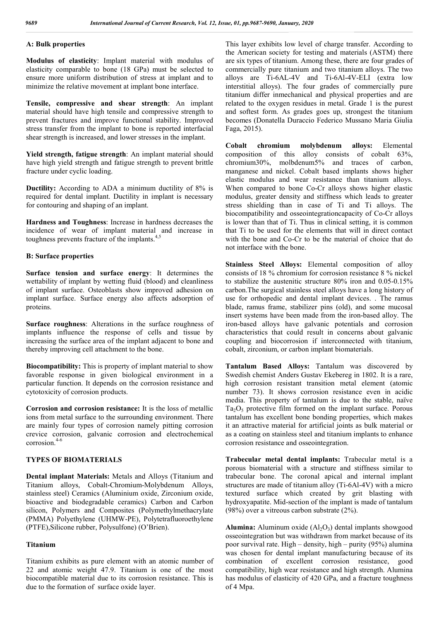## **A: Bulk properties**

**Modulus of elasticity**: Implant material with modulus of elasticity comparable to bone (18 GPa) must be selected to ensure more uniform distribution of stress at implant and to minimize the relative movement at implant bone interface.

**Tensile, compressive and shear strength**: An implant material should have high tensile and compressive strength to prevent fractures and improve functional stability. Improved stress transfer from the implant to bone is reported interfacial shear strength is increased, and lower stresses in the implant.

**Yield strength, fatigue strength**: An implant material should have high yield strength and fatigue strength to prevent brittle fracture under cyclic loading.

**Ductility:** According to ADA a minimum ductility of 8% is required for dental implant. Ductility in implant is necessary for contouring and shaping of an implant.

**Hardness and Toughness**: Increase in hardness decreases the incidence of wear of implant material and increase in toughness prevents fracture of the implants.<sup>4,5</sup>

#### **B: Surface properties**

**Surface tension and surface energy**: It determines the wettability of implant by wetting fluid (blood) and cleanliness of implant surface. Osteoblasts show improved adhesion on implant surface. Surface energy also affects adsorption of proteins.

**Surface roughness**: Alterations in the surface roughness of implants influence the response of cells and tissue by increasing the surface area of the implant adjacent to bone and thereby improving cell attachment to the bone.

**Biocompatibility:** This is property of implant material to show favorable response in given biological environment in a particular function. It depends on the corrosion resistance and cytotoxicity of corrosion products.

**Corrosion and corrosion resistance:** It is the loss of metallic ions from metal surface to the surrounding environment. There are mainly four types of corrosion namely pitting corrosion crevice corrosion, galvanic corrosion and electrochemical corrosion.<sup>4-6</sup>

## **TYPES OF BIOMATERIALS**

**Dental implant Materials:** Metals and Alloys (Titanium and Titanium alloys, Cobalt-Chromium-Molybdenum Alloys, stainless steel) Ceramics (Aluminium oxide, Zirconium oxide, bioactive and biodegradable ceramics) Carbon and Carbon silicon, Polymers and Composites (Polymethylmethacrylate (PMMA) Polyethylene (UHMW-PE), Polytetrafluoroethylene (PTFE),Silicone rubber, Polysulfone) (O'Brien).

### **Titanium**

Titanium exhibits as pure element with an atomic number of 22 and atomic weight 47.9. Titanium is one of the most biocompatible material due to its corrosion resistance. This is due to the formation of surface oxide layer.

This layer exhibits low level of charge transfer. According to the American society for testing and materials (ASTM) there are six types of titanium. Among these, there are four grades of commercially pure titanium and two titanium alloys. The two alloys are Ti-6AL-4V and Ti-6Al-4V-ELI (extra low interstitial alloys). The four grades of commercially pure titanium differ inmechanical and physical properties and are related to the oxygen residues in metal. Grade 1 is the purest and softest form. As grades goes up, strongest the titanium becomes (Donatella Duraccio Federico Mussano Maria Giulia Faga, 2015).

**Cobalt chromium molybdenum alloys:** Elemental composition of this alloy consists of cobalt 63%, chromium30%, molbdenum5% and traces of carbon, manganese and nickel. Cobalt based implants shows higher elastic modulus and wear resistance than titanium alloys. When compared to bone Co-Cr alloys shows higher elastic modulus, greater density and stiffness which leads to greater stress shielding than in case of Ti and Ti alloys. The biocompatibility and osseointegrationcapacity of Co-Cr alloys is lower than that of Ti. Thus in clinical setting, it is common that Ti to be used for the elements that will in direct contact with the bone and Co-Cr to be the material of choice that do not interface with the bone.

**Stainless Steel Alloys:** Elemental composition of alloy consists of 18 % chromium for corrosion resistance 8 % nickel to stabilize the austenitic structure 80% iron and 0.05-0.15% carbon.The surgical stainless steel alloys have a long history of use for orthopedic and dental implant devices. . The ramus blade, ramus frame, stabilizer pins (old), and some mucosal insert systems have been made from the iron-based alloy. The iron-based alloys have galvanic potentials and corrosion characteristics that could result in concerns about galvanic coupling and biocorrosion if interconnected with titanium, cobalt, zirconium, or carbon implant biomaterials.

**Tantalum Based Alloys:** Tantalum was discovered by Swedish chemist Anders Gustav Ekebereg in 1802. It is a rare, high corrosion resistant transition metal element (atomic number 73). It shows corrosion resistance even in acidic media. This property of tantalum is due to the stable, naïve  $Ta<sub>2</sub>O<sub>5</sub>$  protective film formed on the implant surface. Porous tantalum has excellent bone bonding properties, which makes it an attractive material for artificial joints as bulk material or as a coating on stainless steel and titanium implants to enhance corrosion resistance and osseointegration.

**Trabecular metal dental implants:** Trabecular metal is a porous biomaterial with a structure and stiffness similar to trabecular bone. The coronal apical and internal implant structures are made of titanium alloy (Ti-6Al-4V) with a micro textured surface which created by grit blasting with hydroxyapatite. Mid-section of the implant is made of tantalum (98%) over a vitreous carbon substrate (2%).

**Alumina:** Aluminum oxide  $(AI_2O_3)$  dental implants showgood osseointegration but was withdrawn from market because of its poor survival rate. High – density, high – purity (95%) alumina was chosen for dental implant manufacturing because of its combination of excellent corrosion resistance, good compatibility, high wear resistance and high strength. Alumina has modulus of elasticity of 420 GPa, and a fracture toughness of 4 Mpa.